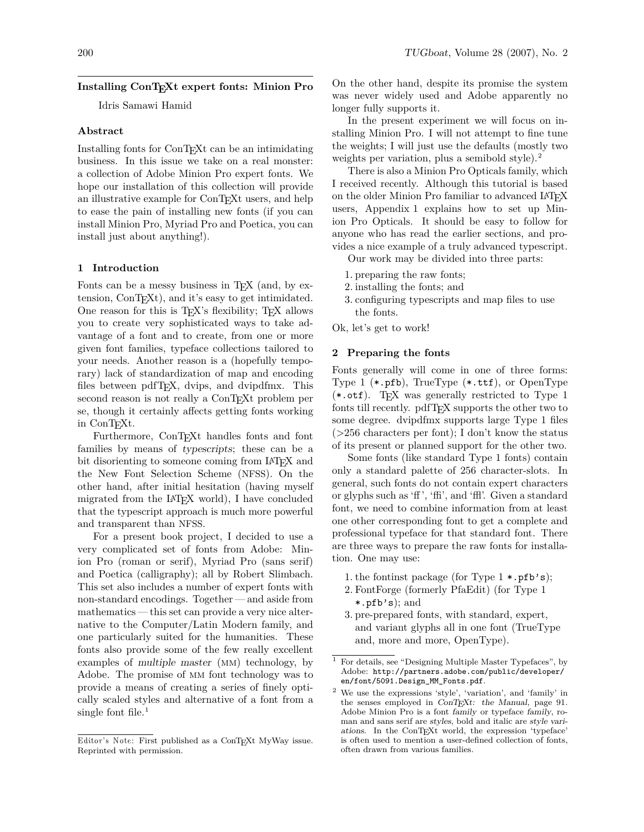# **Installing ConTEXt expert fonts: Minion Pro**

Idris Samawi Hamid

#### **Abstract**

Installing fonts for ConT<sub>E</sub>Xt can be an intimidating business. In this issue we take on a real monster: a collection of Adobe Minion Pro expert fonts. We hope our installation of this collection will provide an illustrative example for ConT<sub>EX</sub>t users, and help to ease the pain of installing new fonts (if you can install Minion Pro, Myriad Pro and Poetica, you can install just about anything!).

#### **1 Introduction**

Fonts can be a messy business in T<sub>E</sub>X (and, by extension, ConT<sub>E</sub>X<sub>t</sub>), and it's easy to get intimidated. One reason for this is  $T_F X$ 's flexibility;  $T_F X$  allows you to create very sophisticated ways to take advantage of a font and to create, from one or more given font families, typeface collections tailored to your needs. Another reason is a (hopefully temporary) lack of standardization of map and encoding files between pdfT<sub>E</sub>X, dvips, and dvipdfmx. This second reason is not really a ConT<sub>E</sub>Xt problem per se, though it certainly affects getting fonts working in ConTEXt.

Furthermore, ConTEXt handles fonts and font families by means of typescripts; these can be a bit disorienting to someone coming from IAT<sub>EX</sub> and the New Font Selection Scheme (NFSS). On the other hand, after initial hesitation (having myself migrated from the LAT<sub>EX</sub> world), I have concluded that the typescript approach is much more powerful and transparent than NFSS.

For a present book project, I decided to use a very complicated set of fonts from Adobe: Minion Pro (roman or serif), Myriad Pro (sans serif) and Poetica (calligraphy); all by Robert Slimbach. This set also includes a number of expert fonts with non-standard encodings. Together — and aside from mathematics— this set can provide a very nice alternative to the Computer/Latin Modern family, and one particularly suited for the humanities. These fonts also provide some of the few really excellent examples of multiple master (mm) technology, by Adobe. The promise of mm font technology was to provide a means of creating a series of finely optically scaled styles and alternative of a font from a single font file. $<sup>1</sup>$ </sup>

On the other hand, despite its promise the system was never widely used and Adobe apparently no longer fully supports it.

In the present experiment we will focus on installing Minion Pro. I will not attempt to fine tune the weights; I will just use the defaults (mostly two weights per variation, plus a semibold style).<sup>2</sup>

There is also a Minion Pro Opticals family, which I received recently. Although this tutorial is based on the older Minion Pro familiar to advanced LAT<sub>EX</sub> users, [Appendix 1](#page-9-0) explains how to set up Minion Pro Opticals. It should be easy to follow for anyone who has read the earlier sections, and provides a nice example of a truly advanced typescript.

Our work may be divided into three parts:

- 1. preparing the raw fonts;
- 2. installing the fonts; and
- 3. configuring typescripts and map files to use the fonts.
- Ok, let's get to work!

# **2 Preparing the fonts**

Fonts generally will come in one of three forms: Type 1 (\*.pfb), TrueType (\*.ttf), or OpenType  $(*.otf)$ . T<sub>F</sub>X was generally restricted to Type 1 fonts till recently. pdfTEX supports the other two to some degree. dvipdfmx supports large Type 1 files (>256 characters per font); I don't know the status of its present or planned support for the other two.

Some fonts (like standard Type 1 fonts) contain only a standard palette of 256 character-slots. In general, such fonts do not contain expert characters or glyphs such as 'ff ', 'ffi', and 'ffl'. Given a standard font, we need to combine information from at least one other corresponding font to get a complete and professional typeface for that standard font. There are three ways to prepare the raw fonts for installation. One may use:

- 1. the fontinst package (for Type 1 \*.pfb's);
- 2. FontForge (formerly PfaEdit) (for Type 1 \*.pfb's); and
- 3. pre-prepared fonts, with standard, expert, and variant glyphs all in one font (TrueType and, more and more, OpenType).

*Editor's Note:* First published as a ConTEXt MyWay issue. Reprinted with permission.

<sup>1</sup> For details, see "Designing Multiple Master Typefaces", by Adobe: [http://partners.adobe.com/public/developer/](http://partners.adobe.com/public/developer/en/font/5091.Design_MM_Fonts.pdf) [en/font/5091.Design\\_MM\\_Fonts.pdf](http://partners.adobe.com/public/developer/en/font/5091.Design_MM_Fonts.pdf).

 $^2$  We use the expressions 'style', 'variation', and 'family' in  $\,$ the senses employed in ConTEXt: the Manual, page 91. Adobe Minion Pro is a font family or typeface family, roman and sans serif are styles, bold and italic are style variations. In the ConTEXt world, the expression 'typeface' is often used to mention a user-defined collection of fonts, often drawn from various families.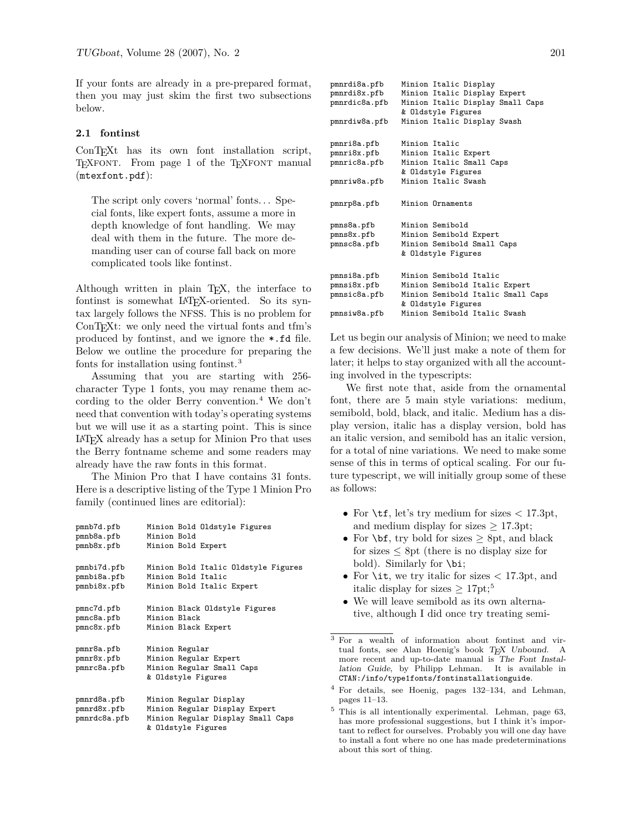If your fonts are already in a pre-prepared format, then you may just skim the first two subsections below.

# **2.1 fontinst**

ConTEXt has its own font installation script, TEXFONT. From page 1 of the TEXFONT manual (mtexfont.pdf):

The script only covers 'normal' fonts. . . Special fonts, like expert fonts, assume a more in depth knowledge of font handling. We may deal with them in the future. The more demanding user can of course fall back on more complicated tools like fontinst.

Although written in plain T<sub>E</sub>X, the interface to fontinst is somewhat LAT<sub>F</sub>X-oriented. So its syntax largely follows the NFSS. This is no problem for ConT<sub>EX</sub>t: we only need the virtual fonts and tfm's produced by fontinst, and we ignore the \*.fd file. Below we outline the procedure for preparing the fonts for installation using fontinst.<sup>3</sup>

Assuming that you are starting with 256 character Type 1 fonts, you may rename them according to the older Berry convention.<sup>4</sup> We don't need that convention with today's operating systems but we will use it as a starting point. This is since LATEX already has a setup for Minion Pro that uses the Berry fontname scheme and some readers may already have the raw fonts in this format.

The Minion Pro that I have contains 31 fonts. Here is a descriptive listing of the Type 1 Minion Pro family (continued lines are editorial):

| pmnb7d.pfb   | Minion Bold Oldstyle Figures        |
|--------------|-------------------------------------|
| pmnb8a.pfb   | Minion Bold                         |
| pmnb8x.pfb   | Minion Bold Expert                  |
| pmnbi7d.pfb  | Minion Bold Italic Oldstyle Figures |
| pmnbi8a.pfb  | Minion Bold Italic                  |
| pmnbi8x.pfb  | Minion Bold Italic Expert           |
| pmnc7d.pfb   | Minion Black Oldstyle Figures       |
| pmnc8a.pfb   | Minion Black                        |
| pmnc8x.pfb   | Minion Black Expert                 |
| pmnr8a.pfb   | Minion Regular                      |
| pmnr8x.pfb   | Minion Regular Expert               |
| pmnrc8a.pfb  | Minion Regular Small Caps           |
|              | & Oldstyle Figures                  |
| pmnrd8a.pfb  | Minion Regular Display              |
| pmnrd8x.pfb  | Minion Regular Display Expert       |
| pmnrdc8a.pfb | Minion Regular Display Small Caps   |
|              | & Oldstyle Figures                  |

| pmnrdi8a.pfb       | Minion Italic Display             |  |  |  |
|--------------------|-----------------------------------|--|--|--|
| pmnrdi8x.pfb       | Minion Italic Display Expert      |  |  |  |
| pmnrdic8a.pfb      | Minion Italic Display Small Caps  |  |  |  |
| & Oldstyle Figures |                                   |  |  |  |
| pmnrdiw8a.pfb      | Minion Italic Display Swash       |  |  |  |
| pmnri8a.pfb        | Minion Italic                     |  |  |  |
| pmnri8x.pfb        | Minion Italic Expert              |  |  |  |
| pmnric8a.pfb       | Minion Italic Small Caps          |  |  |  |
|                    | & Oldstyle Figures                |  |  |  |
| pmnriw8a.pfb       | Minion Italic Swash               |  |  |  |
| pmnrp8a.pfb        | Minion Ornaments                  |  |  |  |
| pmns8a.pfb         | Minion Semibold                   |  |  |  |
| pmns8x.pfb         | Minion Semibold Expert            |  |  |  |
| pmnsc8a.pfb        | Minion Semibold Small Caps        |  |  |  |
|                    | & Oldstyle Figures                |  |  |  |
| pmnsi8a.pfb        | Minion Semibold Italic            |  |  |  |
| pmnsi8x.pfb        | Minion Semibold Italic Expert     |  |  |  |
| pmnsic8a.pfb       | Minion Semibold Italic Small Caps |  |  |  |
|                    | & Oldstyle Figures                |  |  |  |
| pmnsiw8a.pfb       | Minion Semibold Italic Swash      |  |  |  |

Let us begin our analysis of Minion; we need to make a few decisions. We'll just make a note of them for later; it helps to stay organized with all the accounting involved in the typescripts:

We first note that, aside from the ornamental font, there are 5 main style variations: medium, semibold, bold, black, and italic. Medium has a display version, italic has a display version, bold has an italic version, and semibold has an italic version, for a total of nine variations. We need to make some sense of this in terms of optical scaling. For our future typescript, we will initially group some of these as follows:

- For  $\text{tr}, \text{let's try medium}$  for sizes  $\lt$  17.3pt, and medium display for sizes  $\geq$  17.3pt;
- For  $\bf{bf}$ , try bold for sizes  $\geq 8$ pt, and black for sizes  $\leq$  8pt (there is no display size for bold). Similarly for \bi;
- For \it, we try italic for sizes  $\langle 17.3pt, \text{and} \rangle$ italic display for sizes  $\geq 17$ pt;<sup>5</sup>
- We will leave semibold as its own alternative, although I did once try treating semi-

<sup>3</sup> For a wealth of information about fontinst and virtual fonts, see Alan Hoenig's book TEX Unbound. A more recent and up-to-date manual is The Font Installation Guide, by Philipp Lehman. It is available in CTAN:/info/type1fonts/fontinstallationguide.

<sup>4</sup> For details, see Hoenig, pages 132–134, and Lehman, pages 11–13.

 $^5$  This is all intentionally experimental. Lehman, page  $63,$ has more professional suggestions, but I think it's important to reflect for ourselves. Probably you will one day have to install a font where no one has made predeterminations about this sort of thing.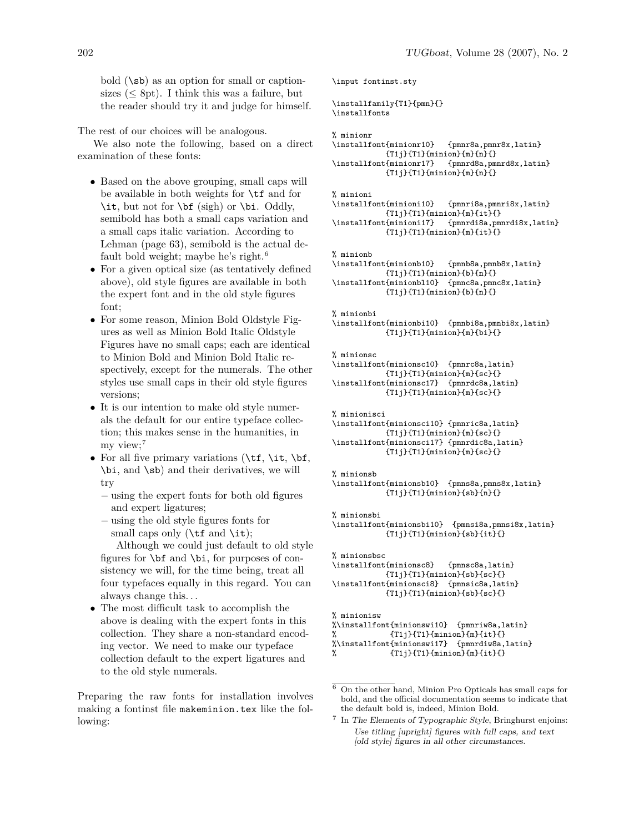bold (\sb) as an option for small or captionsizes  $(< 8pt)$ . I think this was a failure, but the reader should try it and judge for himself.

The rest of our choices will be analogous.

We also note the following, based on a direct examination of these fonts:

- Based on the above grouping, small caps will be available in both weights for \tf and for \it, but not for \bf (sigh) or \bi. Oddly, semibold has both a small caps variation and a small caps italic variation. According to Lehman (page 63), semibold is the actual default bold weight; maybe he's right. $6$
- For a given optical size (as tentatively defined above), old style figures are available in both the expert font and in the old style figures font;
- For some reason, Minion Bold Oldstyle Figures as well as Minion Bold Italic Oldstyle Figures have no small caps; each are identical to Minion Bold and Minion Bold Italic respectively, except for the numerals. The other styles use small caps in their old style figures versions;
- It is our intention to make old style numerals the default for our entire typeface collection; this makes sense in the humanities, in my view;<sup>7</sup>
- For all five primary variations  $(\t t, \i t, \b f, \cdot)$ \bi, and \sb) and their derivatives, we will try
	- − using the expert fonts for both old figures and expert ligatures;
	- − using the old style figures fonts for small caps only ( $\t{tf}$  and  $\it{it}$ );

Although we could just default to old style figures for \bf and \bi, for purposes of consistency we will, for the time being, treat all four typefaces equally in this regard. You can always change this. . .

• The most difficult task to accomplish the above is dealing with the expert fonts in this collection. They share a non-standard encoding vector. We need to make our typeface collection default to the expert ligatures and to the old style numerals.

Preparing the raw fonts for installation involves making a fontinst file makeminion.tex like the following:

```
\input fontinst.sty
```
\installfamily{T1}{pmn}{} \installfonts

```
% minionr
```

```
\installfont{minionr10} {pmnr8a,pmnr8x,latin}
            {T1j}{T1}{minion}{m}{n}{}
\installfont{minionr17} {pmnrd8a,pmnrd8x,latin}
           \{T1j\}\{T1\}\{minimum\}\{n\}\}
```
 $%$  minioni<br>\installfont{minioni10} \installfont{minioni10} {pmnri8a,pmnri8x,latin} {T1j}{T1}{minion}{m}{it}{}<br>\installfont{minioni17} {pmnrdi8a,pm \installfont{minioni17} {pmnrdi8a,pmnrdi8x,latin} {T1j}{T1}{minion}{m}{it}{}

% minionb

```
\installfont{minionb10} {pmnb8a,pmnb8x,latin}
           {T1j}{T1}{minion}{b}{n}{}
\installfont{minionbl10} {pmnc8a,pmnc8x,latin}
           {T1j}{T1}{minion}{b}{n}{}
```
% minionbi

```
\installfont{minionbi10} {pmnbi8a,pmnbi8x,latin}
           {T1j}{T1}{minion}{m}{bi}{}
```

```
% minionsc
```

```
\installfont{minionsc10} {pmnrc8a,latin}
           {T1j}{T1}{minion}{m}{sc}{}
\installfont{minionsc17} {pmnrdc8a,latin}
           {T1j}{T1}{minion}{m}{sc}{}
```

```
% minionisci
```

```
\installfont{minionsci10} {pmnric8a,latin}
            {T1}{}^{T1}{T1}{minion}{m}{sc}{}
\installfont{minionsci17} {pmnrdic8a,latin}
            {T1j}{T1}{minion}{m}{sc}{}
```

```
% minionsb
\installfont{minionsb10} {pmns8a,pmns8x,latin}
            {T1j}{T1}{minion}{sb}{n}{}
```
% minionsbi \installfont{minionsbi10} {pmnsi8a,pmnsi8x,latin} {T1j}{T1}{minion}{sb}{it}{}

```
% minionsbsc
\installfont{minionsc8} {pmnsc8a,latin}
           {T1j}{T1}{minion}{sb}{sc}{}
\installfont{minionsci8} {pmnsic8a,latin}
           {T1j}{T1}{minion}{sb}{sc}{}
```
% minionisw %\installfont{minionswi10} {pmnriw8a,latin}<br>% {T1i}{T1}{minion}{m}{it}{}  ${T1j}{T1}{minn}$ {m}{it}{} %\installfont{minionswi17} {pmnrdiw8a,latin} %  ${T1j}{T1}{minion}{m}{t}{t}{t}$ 

 $^6\,$  On the other hand, Minion Pro Opticals has small caps for bold, and the official documentation seems to indicate that the default bold is, indeed, Minion Bold.

<sup>&</sup>lt;sup>7</sup> In The Elements of Typographic Style, Bringhurst enjoins: Use titling [upright] figures with full caps, and text [old style] figures in all other circumstances.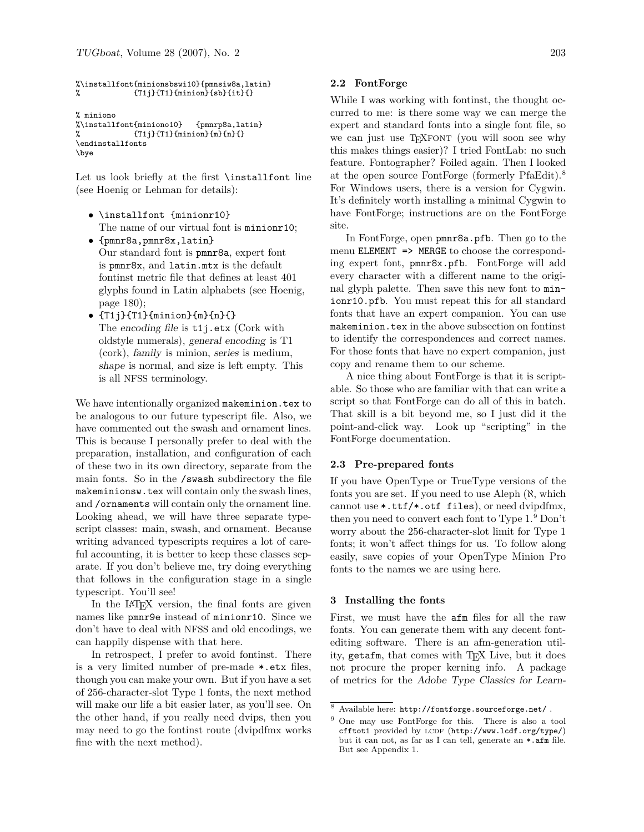```
%\installfont{minionsbswi10}{pmnsiw8a,latin}
% {T1j}{T1}{minion}{sb}{it}
```

```
% miniono
%\installfont{miniono10} {pmnrp8a,latin}
% {T1j}{T1}{minion}{m}{n}{}}
\endinstallfonts
\bye
```
Let us look briefly at the first **\installfont** line (see Hoenig or Lehman for details):

- \installfont {minionr10} The name of our virtual font is minionr10:
- {pmnr8a,pmnr8x,latin} Our standard font is pmnr8a, expert font is pmnr8x, and latin.mtx is the default fontinst metric file that defines at least 401 glyphs found in Latin alphabets (see Hoenig, page 180);
- $\bullet$  {T1j}{T1}{minion}{m}{n}{} The encoding file is t1j.etx (Cork with oldstyle numerals), general encoding is T1 (cork), family is minion, series is medium, shape is normal, and size is left empty. This is all NFSS terminology.

We have intentionally organized makeminion.tex to be analogous to our future typescript file. Also, we have commented out the swash and ornament lines. This is because I personally prefer to deal with the preparation, installation, and configuration of each of these two in its own directory, separate from the main fonts. So in the /swash subdirectory the file makeminionsw.tex will contain only the swash lines, and /ornaments will contain only the ornament line. Looking ahead, we will have three separate typescript classes: main, swash, and ornament. Because writing advanced typescripts requires a lot of careful accounting, it is better to keep these classes separate. If you don't believe me, try doing everything that follows in the configuration stage in a single typescript. You'll see!

In the LAT<sub>EX</sub> version, the final fonts are given names like pmnr9e instead of minionr10. Since we don't have to deal with NFSS and old encodings, we can happily dispense with that here.

In retrospect, I prefer to avoid fontinst. There is a very limited number of pre-made \*.etx files, though you can make your own. But if you have a set of 256-character-slot Type 1 fonts, the next method will make our life a bit easier later, as you'll see. On the other hand, if you really need dvips, then you may need to go the fontinst route (dvipdfmx works fine with the next method).

### **2.2 FontForge**

While I was working with fontinst, the thought occurred to me: is there some way we can merge the expert and standard fonts into a single font file, so we can just use TEXFONT (you will soon see why this makes things easier)? I tried FontLab: no such feature. Fontographer? Foiled again. Then I looked at the open source FontForge (formerly PfaEdit).<sup>8</sup> For Windows users, there is a version for Cygwin. It's definitely worth installing a minimal Cygwin to have FontForge; instructions are on the FontForge site.

In FontForge, open pmnr8a.pfb. Then go to the menu ELEMENT => MERGE to choose the corresponding expert font, pmnr8x.pfb. FontForge will add every character with a different name to the original glyph palette. Then save this new font to minionr10.pfb. You must repeat this for all standard fonts that have an expert companion. You can use makeminion.tex in the above subsection on fontinst to identify the correspondences and correct names. For those fonts that have no expert companion, just copy and rename them to our scheme.

A nice thing about FontForge is that it is scriptable. So those who are familiar with that can write a script so that FontForge can do all of this in batch. That skill is a bit beyond me, so I just did it the point-and-click way. Look up "scripting" in the FontForge documentation.

### **2.3 Pre-prepared fonts**

If you have OpenType or TrueType versions of the fonts you are set. If you need to use Aleph (ℵ, which cannot use \*.ttf/\*.otf files), or need dvipdfmx, then you need to convert each font to Type 1.<sup>9</sup> Don't worry about the 256-character-slot limit for Type 1 fonts; it won't affect things for us. To follow along easily, save copies of your OpenType Minion Pro fonts to the names we are using here.

#### **3 Installing the fonts**

First, we must have the afm files for all the raw fonts. You can generate them with any decent fontediting software. There is an afm-generation utility, getafm, that comes with TEX Live, but it does not procure the proper kerning info. A package of metrics for the Adobe Type Classics for Learn-

 $^8\,$  Available here:  ${\tt http://fontforege.sourcefore,net/}$  .

<sup>9</sup> One may use FontForge for this. There is also a tool cfftot1 provided by LCDF (<http://www.lcdf.org/type/>) but it can not, as far as I can tell, generate an \*.afm file. But see [Appendix 1.](#page-9-0)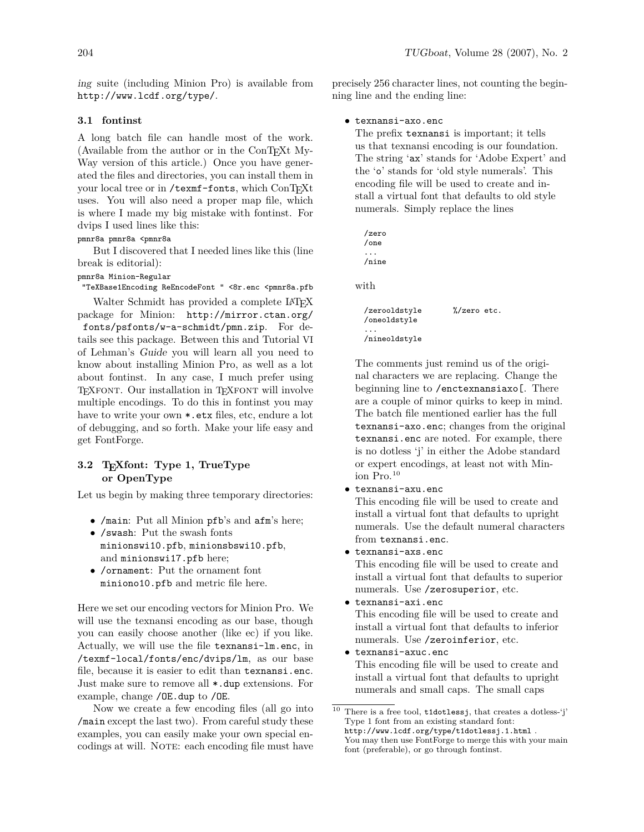ing suite (including Minion Pro) is available from <http://www.lcdf.org/type/>.

# **3.1 fontinst**

A long batch file can handle most of the work. (Available from the author or in the  $ConT<sub>F</sub>Xt$  My-Way version of this article.) Once you have generated the files and directories, you can install them in your local tree or in /texmf-fonts, which ConTEXt uses. You will also need a proper map file, which is where I made my big mistake with fontinst. For dvips I used lines like this:

pmnr8a pmnr8a <pmnr8a

But I discovered that I needed lines like this (line break is editorial):

pmnr8a Minion-Regular

"TeXBase1Encoding ReEncodeFont " <8r.enc <pmnr8a.pfb

Walter Schmidt has provided a complete LAT<sub>EX</sub> package for Minion: [http://mirror.ctan.org/](http://mirror.ctan.org/fonts/psfonts/w-a-schmidt/pmn.zip) [fonts/psfonts/w-a-schmidt/pmn.zip](http://mirror.ctan.org/fonts/psfonts/w-a-schmidt/pmn.zip). For details see this package. Between this and Tutorial VI of Lehman's Guide you will learn all you need to know about installing Minion Pro, as well as a lot about fontinst. In any case, I much prefer using TEXFONT. Our installation in TEXFONT will involve multiple encodings. To do this in fontinst you may have to write your own \*.etx files, etc, endure a lot of debugging, and so forth. Make your life easy and get FontForge.

# **3.2 TEXfont: Type 1, TrueType or OpenType**

Let us begin by making three temporary directories:

- /main: Put all Minion pfb's and afm's here;
- /swash: Put the swash fonts
- minionswi10.pfb, minionsbswi10.pfb, and minionswi17.pfb here;
- /ornament: Put the ornament font miniono10.pfb and metric file here.

Here we set our encoding vectors for Minion Pro. We will use the texnansi encoding as our base, though you can easily choose another (like ec) if you like. Actually, we will use the file texnansi-lm.enc, in /texmf-local/fonts/enc/dvips/lm, as our base file, because it is easier to edit than texnansi.enc. Just make sure to remove all \*.dup extensions. For example, change /OE.dup to /OE.

Now we create a few encoding files (all go into /main except the last two). From careful study these examples, you can easily make your own special encodings at will. NOTE: each encoding file must have

precisely 256 character lines, not counting the beginning line and the ending line:

### • texnansi-axo.enc

The prefix texnansi is important; it tells us that texnansi encoding is our foundation. The string 'ax' stands for 'Adobe Expert' and the 'o' stands for 'old style numerals'. This encoding file will be used to create and install a virtual font that defaults to old style numerals. Simply replace the lines

```
/zero
  /one
  ...
  /nine
with
  /zerooldstyle %/zero etc.
  /oneoldstyle
  ...
  /nineoldstyle
```
The comments just remind us of the original characters we are replacing. Change the beginning line to /enctexnansiaxo[. There are a couple of minor quirks to keep in mind. The batch file mentioned earlier has the full texnansi-axo.enc; changes from the original texnansi.enc are noted. For example, there is no dotless 'j' in either the Adobe standard or expert encodings, at least not with Minion Pro.<sup>10</sup>

• texnansi-axu.enc

This encoding file will be used to create and install a virtual font that defaults to upright numerals. Use the default numeral characters from texnansi.enc.

- texnansi-axs.enc This encoding file will be used to create and install a virtual font that defaults to superior numerals. Use /zerosuperior, etc.
- texnansi-axi.enc This encoding file will be used to create and install a virtual font that defaults to inferior numerals. Use /zeroinferior, etc.
- texnansi-axuc.enc This encoding file will be used to create and install a virtual font that defaults to upright numerals and small caps. The small caps

 $^{10}$  There is a free tool,  $\texttt{tdotless}j,$  that creates a dotless-'j' Type 1 font from an existing standard font: <http://www.lcdf.org/type/t1dotlessj.1.html> . You may then use FontForge to merge this with your main font (preferable), or go through fontinst.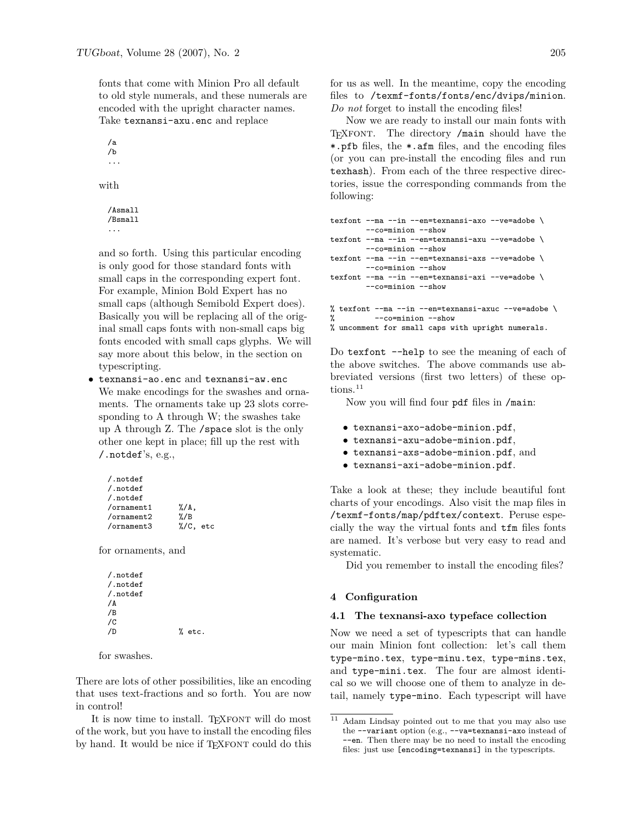fonts that come with Minion Pro all default to old style numerals, and these numerals are encoded with the upright character names. Take texnansi-axu.enc and replace

/a /b ...

with

```
/Asmall
/Bsmall
...
```
and so forth. Using this particular encoding is only good for those standard fonts with small caps in the corresponding expert font. For example, Minion Bold Expert has no small caps (although Semibold Expert does). Basically you will be replacing all of the original small caps fonts with non-small caps big fonts encoded with small caps glyphs. We will say more about this below, in the section on typescripting.

• texnansi-ao.enc and texnansi-aw.enc We make encodings for the swashes and ornaments. The ornaments take up 23 slots corresponding to A through W; the swashes take up A through Z. The /space slot is the only other one kept in place; fill up the rest with /.notdef's, e.g.,

| /.notdef     |                      |  |
|--------------|----------------------|--|
| $/$ . notdef |                      |  |
| $/$ . notdef |                      |  |
| /ornament1   | $\frac{\%}{A}$ ,     |  |
| /ornament2   | $\frac{\%}{B}$       |  |
| /ornament3   | $\frac{9}{6}$ C. etc |  |

for ornaments, and

/.notdef /.notdef /.notdef /A /B /C  $/D$  % etc.

for swashes.

There are lots of other possibilities, like an encoding that uses text-fractions and so forth. You are now in control!

It is now time to install. TEXFONT will do most of the work, but you have to install the encoding files by hand. It would be nice if TEXFONT could do this for us as well. In the meantime, copy the encoding files to /texmf-fonts/fonts/enc/dvips/minion. *Do not* forget to install the encoding files!

Now we are ready to install our main fonts with TEXFONT. The directory /main should have the \*.pfb files, the \*.afm files, and the encoding files (or you can pre-install the encoding files and run texhash). From each of the three respective directories, issue the corresponding commands from the following:

```
texfont --ma --in --en=texnansi-axo --ve=adobe \
        --co=minion --show
texfont --ma --in --en=texnansi-axu --ve=adobe \
         --co=minion --show
texfont --ma --in --en=texnansi-axs --ve=adobe \
        --co=minion --show
texfont --ma --in --en=texnansi-axi --ve=adobe \
        --co=minion --show
% texfont --ma --in-en=texnansi-axuc --ve=adobe \ \% --co=minion --show--co=minion --show
% uncomment for small caps with upright numerals.
```
Do texfont --help to see the meaning of each of

the above switches. The above commands use abbreviated versions (first two letters) of these options.<sup>11</sup>

Now you will find four pdf files in /main:

- texnansi-axo-adobe-minion.pdf,
- texnansi-axu-adobe-minion.pdf,
- texnansi-axs-adobe-minion.pdf, and
- texnansi-axi-adobe-minion.pdf.

Take a look at these; they include beautiful font charts of your encodings. Also visit the map files in /texmf-fonts/map/pdftex/context. Peruse especially the way the virtual fonts and tfm files fonts are named. It's verbose but very easy to read and systematic.

Did you remember to install the encoding files?

# **4 Configuration**

# **4.1 The texnansi-axo typeface collection**

Now we need a set of typescripts that can handle our main Minion font collection: let's call them type-mino.tex, type-minu.tex, type-mins.tex, and type-mini.tex. The four are almost identical so we will choose one of them to analyze in detail, namely type-mino. Each typescript will have

 $\overline{11}$  Adam Lindsay pointed out to me that you may also use the --variant option (e.g., --va=texnansi-axo instead of --en. Then there may be no need to install the encoding files: just use [encoding=texnansi] in the typescripts.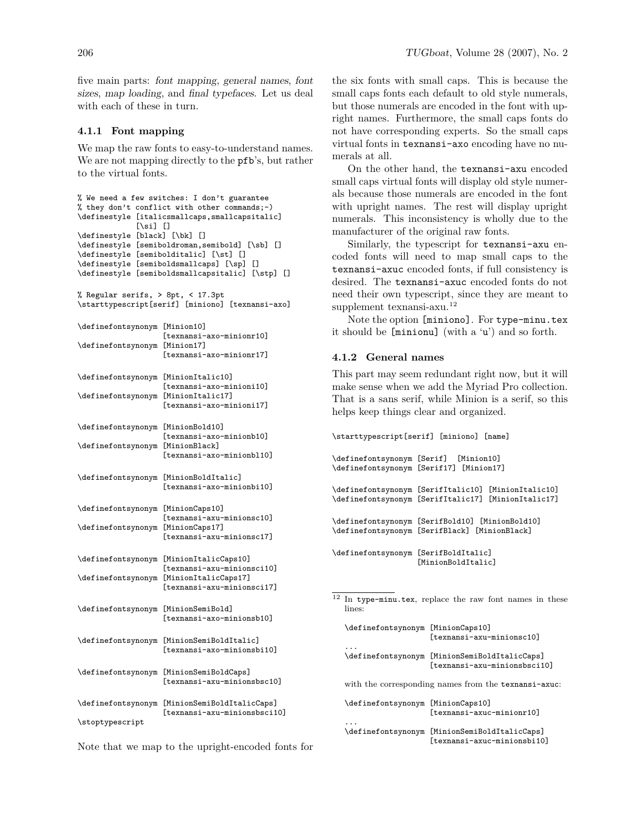five main parts: font mapping, general names, font sizes, map loading, and final typefaces. Let us deal with each of these in turn.

# **4.1.1 Font mapping**

We map the raw fonts to easy-to-understand names. We are not mapping directly to the pfb's, but rather to the virtual fonts.

```
% We need a few switches: I don't guarantee
% they don't conflict with other commands;-)
\definestyle [italicsmallcaps,smallcapsitalic]
             [\si] []
\definestyle [black] [\bk] []
\definestyle [semiboldroman,semibold] [\sb] []
\definestyle [semibolditalic] [\st] []
\definestyle [semiboldsmallcaps] [\sp] []
\definestyle [semiboldsmallcapsitalic] [\stp] []
% Regular serifs, > 8pt, < 17.3pt
\starttypescript[serif] [miniono] [texnansi-axo]
\definefontsynonym [Minion10]
                   [texnansi-axo-minionr10]
\definefontsynonym [Minion17]
                   [texnansi-axo-minionr17]
\definefontsynonym [MinionItalic10]
                   [texnansi-axo-minioni10]
\definefontsynonym [MinionItalic17]
                   [texnansi-axo-minioni17]
\definefontsynonym [MinionBold10]
                   [texnansi-axo-minionb10]
\definefontsynonym [MinionBlack]
                   [texnansi-axo-minionbl10]
\definefontsynonym [MinionBoldItalic]
                   [texnansi-axo-minionbi10]
\definefontsynonym [MinionCaps10]
                   [texnansi-axu-minionsc10]
\definefontsynonym [MinionCaps17]
                   [texnansi-axu-minionsc17]
\definefontsynonym [MinionItalicCaps10]
                   [texnansi-axu-minionsci10]
\definefontsynonym [MinionItalicCaps17]
                   [texnansi-axu-minionsci17]
\definefontsynonym [MinionSemiBold]
                   [texnansi-axo-minionsb10]
\definefontsynonym [MinionSemiBoldItalic]
                   [texnansi-axo-minionsbi10]
\definefontsynonym [MinionSemiBoldCaps]
                   [texnansi-axu-minionsbsc10]
\definefontsynonym [MinionSemiBoldItalicCaps]
                   [texnansi-axu-minionsbsci10]
\stoptypescript
```
the six fonts with small caps. This is because the small caps fonts each default to old style numerals, but those numerals are encoded in the font with upright names. Furthermore, the small caps fonts do not have corresponding experts. So the small caps virtual fonts in texnansi-axo encoding have no numerals at all.

On the other hand, the texnansi-axu encoded small caps virtual fonts will display old style numerals because those numerals are encoded in the font with upright names. The rest will display upright numerals. This inconsistency is wholly due to the manufacturer of the original raw fonts.

Similarly, the typescript for texnansi-axu encoded fonts will need to map small caps to the texnansi-axuc encoded fonts, if full consistency is desired. The texnansi-axuc encoded fonts do not need their own typescript, since they are meant to supplement texnansi-axu. $12$ 

Note the option [miniono]. For type-minu.tex it should be [minionu] (with a 'u') and so forth.

### **4.1.2 General names**

This part may seem redundant right now, but it will make sense when we add the Myriad Pro collection. That is a sans serif, while Minion is a serif, so this helps keep things clear and organized.

\starttypescript[serif] [miniono] [name]

\definefontsynonym [Serif] [Minion10] \definefontsynonym [Serif17] [Minion17] \definefontsynonym [SerifItalic10] [MinionItalic10] \definefontsynonym [SerifItalic17] [MinionItalic17] \definefontsynonym [SerifBold10] [MinionBold10] \definefontsynonym [SerifBlack] [MinionBlack] \definefontsynonym [SerifBoldItalic] [MinionBoldItalic]

<sup>12</sup> In type-minu.tex, replace the raw font names in these lines:

\definefontsynonym [MinionCaps10] [texnansi-axu-minionsc10]

... \definefontsynonym [MinionSemiBoldItalicCaps] [texnansi-axu-minionsbsci10]

with the corresponding names from the texnansi-axuc:

\definefontsynonym [MinionCaps10] [texnansi-axuc-minionr10] ...

\definefontsynonym [MinionSemiBoldItalicCaps] [texnansi-axuc-minionsbi10]

Note that we map to the upright-encoded fonts for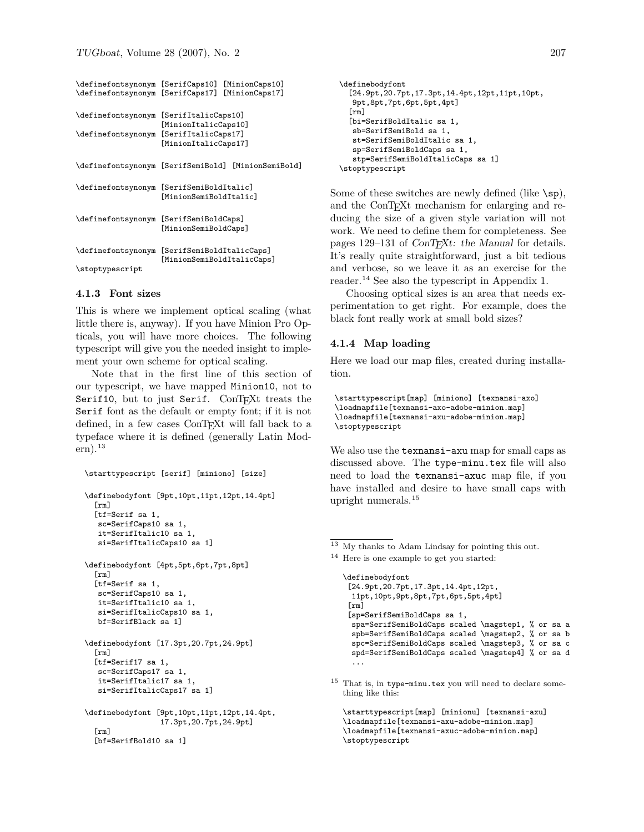| \definefontsynonym | [SerifCaps10]                                           | [MinionCaps10]   |  |
|--------------------|---------------------------------------------------------|------------------|--|
| \definefontsynonym | [SerifCaps17]                                           | [MinionCaps17]   |  |
|                    |                                                         |                  |  |
| \definefontsynonym | [SerifItalicCaps10]                                     |                  |  |
|                    | [MinionItalicCaps10]                                    |                  |  |
| \definefontsynonym | [SerifItalicCaps17]                                     |                  |  |
|                    | [MinionItalicCaps17]                                    |                  |  |
|                    |                                                         |                  |  |
| \definefontsynonym | [SerifSemiBold]                                         | [MinionSemiBold] |  |
|                    |                                                         |                  |  |
| \definefontsynonym | [SerifSemiBoldItalic]                                   |                  |  |
|                    | [MinionSemiBoldItalic]                                  |                  |  |
|                    |                                                         |                  |  |
| \definefontsynonym | [SerifSemiBoldCaps]                                     |                  |  |
|                    | [MinionSemiBoldCaps]                                    |                  |  |
|                    |                                                         |                  |  |
| \definefontsynonym | [SerifSemiBoldItalicCaps]<br>[MinionSemiBoldItalicCaps] |                  |  |
| \stoptypescript    |                                                         |                  |  |
|                    |                                                         |                  |  |

#### **4.1.3 Font sizes**

This is where we implement optical scaling (what little there is, anyway). If you have Minion Pro Opticals, you will have more choices. The following typescript will give you the needed insight to implement your own scheme for optical scaling.

Note that in the first line of this section of our typescript, we have mapped Minion10, not to Serif10, but to just Serif. ConTEXt treats the Serif font as the default or empty font; if it is not defined, in a few cases ConTEXt will fall back to a typeface where it is defined (generally Latin Modern).<sup>13</sup>

```
\starttypescript [serif] [miniono] [size]
```

```
\definebodyfont [9pt,10pt,11pt,12pt,14.4pt]
  [rm]
  [tf=Serif sa 1,
   sc=SerifCaps10 sa 1,
   it=SerifItalic10 sa 1,
  si=SerifItalicCaps10 sa 1]
\definebodyfont [4pt,5pt,6pt,7pt,8pt]
  [rm]
  [tf=Serif sa 1,
   sc=SerifCaps10 sa 1,
  it=SerifItalic10 sa 1,
   si=SerifItalicCaps10 sa 1,
   bf=SerifBlack sa 1]
\definebodyfont [17.3pt,20.7pt,24.9pt]
  \lceilrm\rceil[tf=Serif17 sa 1,
   sc=SerifCaps17 sa 1,
   it=SerifItalic17 sa 1,
   si=SerifItalicCaps17 sa 1]
\definebodyfont [9pt,10pt,11pt,12pt,14.4pt,
                 17.3pt,20.7pt,24.9pt]
  [rm]
```
[bf=SerifBold10 sa 1]

```
\definebodyfont
  [24.9pt,20.7pt,17.3pt,14.4pt,12pt,11pt,10pt,
  9pt,8pt,7pt,6pt,5pt,4pt]
  [rm]
  [bi=SerifBoldItalic sa 1,
  sb=SerifSemiBold sa 1,
  st=SerifSemiBoldItalic sa 1,
  sp=SerifSemiBoldCaps sa 1,
  stp=SerifSemiBoldItalicCaps sa 1]
\stoptypescript
```
Some of these switches are newly defined (like  $\succeq$ sp), and the ConT<sub>E</sub>X<sub>t</sub> mechanism for enlarging and reducing the size of a given style variation will not work. We need to define them for completeness. See pages  $129-131$  of  $ConT_FXt$ : the Manual for details. It's really quite straightforward, just a bit tedious and verbose, so we leave it as an exercise for the reader.<sup>14</sup> See also the typescript in [Appendix 1.](#page-9-0)

Choosing optical sizes is an area that needs experimentation to get right. For example, does the black font really work at small bold sizes?

# **4.1.4 Map loading**

Here we load our map files, created during installation.

```
\starttypescript[map] [miniono] [texnansi-axo]
\loadmapfile[texnansi-axo-adobe-minion.map]
\loadmapfile[texnansi-axu-adobe-minion.map]
\stoptypescript
```
We also use the texnansi-axu map for small caps as discussed above. The type-minu.tex file will also need to load the texnansi-axuc map file, if you have installed and desire to have small caps with upright numerals.<sup>15</sup>

```
\definebodyfont
 [24.9pt,20.7pt,17.3pt,14.4pt,12pt,
 11pt,10pt,9pt,8pt,7pt,6pt,5pt,4pt]
 [rm][sp=SerifSemiBoldCaps sa 1,
 spa=SerifSemiBoldCaps scaled \magstep1, % or sa a
 spb=SerifSemiBoldCaps scaled \magstep2, % or sa b
 spc=SerifSemiBoldCaps scaled \magstep3, % or sa c
 spd=SerifSemiBoldCaps scaled \magstep4] % or sa d
  ...
```
 $\overline{^{13}$  My thanks to Adam Lindsay for pointing this out.

<sup>14</sup> Here is one example to get you started:

<sup>15</sup> That is, in type-minu.tex you will need to declare something like this:

<sup>\</sup>starttypescript[map] [minionu] [texnansi-axu] \loadmapfile[texnansi-axu-adobe-minion.map] \loadmapfile[texnansi-axuc-adobe-minion.map] \stoptypescript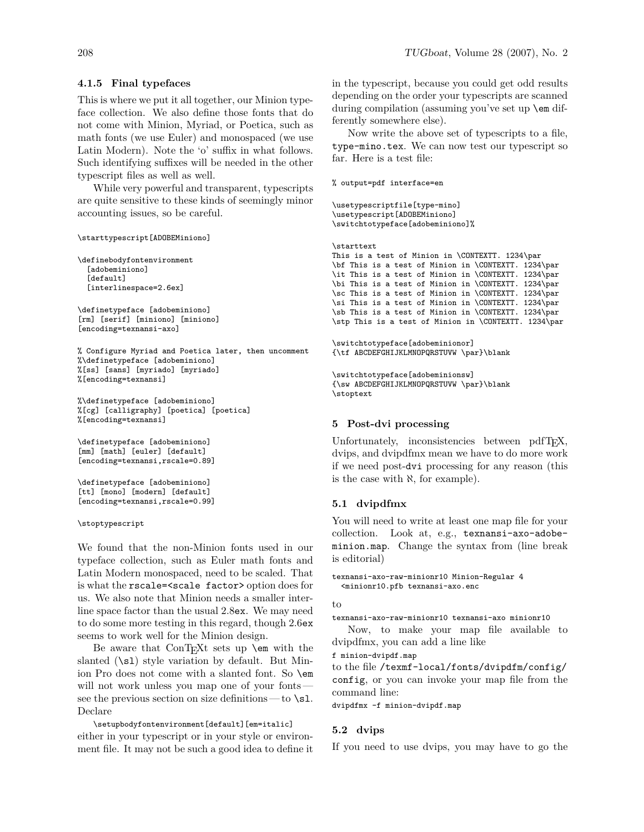# **4.1.5 Final typefaces**

This is where we put it all together, our Minion typeface collection. We also define those fonts that do not come with Minion, Myriad, or Poetica, such as math fonts (we use Euler) and monospaced (we use Latin Modern). Note the 'o' suffix in what follows. Such identifying suffixes will be needed in the other typescript files as well as well.

While very powerful and transparent, typescripts are quite sensitive to these kinds of seemingly minor accounting issues, so be careful.

#### \starttypescript[ADOBEMiniono]

```
\definebodyfontenvironment
  [adobeminiono]
  [default]
  [interlinespace=2.6ex]
```

```
\definetypeface [adobeminiono]
[rm] [serif] [miniono] [miniono]
[encoding=texnansi-axo]
```
% Configure Myriad and Poetica later, then uncomment %\definetypeface [adobeminiono] %[ss] [sans] [myriado] [myriado] %[encoding=texnansi]

```
%\definetypeface [adobeminiono]
%[cg] [calligraphy] [poetica] [poetica]
%[encoding=texnansi]
```

```
\definetypeface [adobeminiono]
[mm] [math] [euler] [default]
[encoding=texnansi,rscale=0.89]
```

```
\definetypeface [adobeminiono]
[tt] [mono] [modern] [default]
[encoding=texnansi,rscale=0.99]
```
#### \stoptypescript

We found that the non-Minion fonts used in our typeface collection, such as Euler math fonts and Latin Modern monospaced, need to be scaled. That is what the rscale=<scale factor> option does for us. We also note that Minion needs a smaller interline space factor than the usual 2.8ex. We may need to do some more testing in this regard, though 2.6ex seems to work well for the Minion design.

Be aware that ConTEXt sets up **\em** with the slanted  $(\succeq s)$  style variation by default. But Minion Pro does not come with a slanted font. So \em will not work unless you map one of your fontssee the previous section on size definitions — to  $\succeq$  1. Declare

\setupbodyfontenvironment[default][em=italic] either in your typescript or in your style or environment file. It may not be such a good idea to define it in the typescript, because you could get odd results depending on the order your typescripts are scanned during compilation (assuming you've set up \em differently somewhere else).

Now write the above set of typescripts to a file, type-mino.tex. We can now test our typescript so far. Here is a test file:

% output=pdf interface=en

```
\usetypescriptfile[type-mino]
\usetypescript[ADOBEMiniono]
\switchtotypeface[adobeminiono]%
```
#### \starttext

This is a test of Minion in \CONTEXTT. 1234\par \bf This is a test of Minion in \CONTEXTT. 1234\par \it This is a test of Minion in \CONTEXTT. 1234\par \bi This is a test of Minion in \CONTEXTT. 1234\par \sc This is a test of Minion in \CONTEXTT. 1234\par \si This is a test of Minion in \CONTEXTT. 1234\par \sb This is a test of Minion in \CONTEXTT. 1234\par \stp This is a test of Minion in \CONTEXTT. 1234\par

```
\switchtotypeface[adobeminionor]
{\tf ABCDEFGHIJKLMNOPQRSTUVW \par}\blank
```

```
\switchtotypeface[adobeminionsw]
{\sw ABCDEFGHIJKLMNOPQRSTUVW \par}\blank
\stoptext
```
### **5 Post-dvi processing**

Unfortunately, inconsistencies between pdfT<sub>E</sub>X, dvips, and dvipdfmx mean we have to do more work if we need post-dvi processing for any reason (this is the case with  $\aleph$ , for example).

# **5.1 dvipdfmx**

You will need to write at least one map file for your collection. Look at, e.g., texnansi-axo-adobeminion.map. Change the syntax from (line break is editorial)

```
texnansi-axo-raw-minionr10 Minion-Regular 4
 <minionr10.pfb texnansi-axo.enc
```
### to

texnansi-axo-raw-minionr10 texnansi-axo minionr10

Now, to make your map file available to dvipdfmx, you can add a line like

f minion-dvipdf.map

to the file /texmf-local/fonts/dvipdfm/config/ config, or you can invoke your map file from the command line:

dvipdfmx -f minion-dvipdf.map

#### **5.2 dvips**

If you need to use dvips, you may have to go the